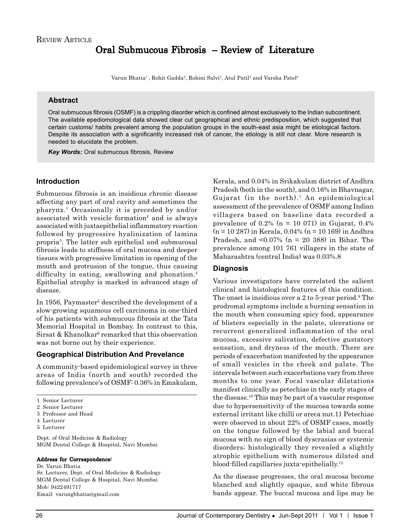# Oral Submucous Fibrosis – Review of Literature

Varun Bhatia<sup>1</sup>, Rohit Gadda<sup>2</sup>, Rohini Salvi<sup>3</sup>, Atul Patil<sup>4</sup> and Varsha Patel<sup>5</sup>

#### **Abstract**

Oral submucous fibrosis (OSMF) is a crippling disorder which is confined almost exclusively to the Indian subcontinent. The available epediomological data showed clear cut geographical and ethnic predisposition, which suggested that certain customs/ habits prevalent among the population groups in the south-east asia might be etiological factors. Despite its association with a significantly increased risk of cancer, the etiology is still not clear. More research is needed to elucidate the problem.

*Key Words:* Oral submucous fibrosis, Review

#### **Introduction**

Submucous fibrosis is an insidious chronic disease affecting any part of oral cavity and sometimes the pharynx.1 Occasionally it is preceded by and/or associated with vesicle formation<sup>2</sup> and is always associated with juxtaepithelial inflammatory reaction followed by progressive hyalinization of lamina propria3 . The latter sub epithelial and submucosal fibrosis leads to stiffness of oral mucosa and deeper tissues with progressive limitation in opening of the mouth and protrusion of the tongue, thus causing difficulty in eating, swallowing and phonation.<sup>4</sup> Epithelial atrophy is marked in advanced stage of disease.

In 1956, Paymaster<sup>5</sup> described the development of a slow-growing squamous cell carcinoma in one-third of his patients with submucous fibrosis at the Tata Memorial Hospital in Bombay. In contrast to this, Sirsat & Khanolkar<sup>6</sup> remarked that this observation was not borne out by their experience.

#### **Geographical Distribution And Prevelance**

A community-based epidemiological survey in three areas of India (north and south) recorded the following prevalence's of OSMF: 0.36% in Emakulam,

Dept. of Oral Medicine & Radiology MGM Dental College & Hospital, Navi Mumbai

#### Address for Correspondence:

Dr. Varun Bhatia Sr. Lecturer, Dept. of Oral Medicine & Radiology MGM Dental College & Hospital, Navi Mumbai Mob: 9422491717 Email: varungbhatia@gmail.com

Kerala, and 0.04% in Srikakulam district of Andhra Pradesh (both in the south), and 0.16% in Bhavnagar, Gujarat (in the north).<sup>7</sup> An epidemiological assessment of the prevalence of OSMF among Indian villagers based on baseline data recorded a prevalence of  $0.2\%$  (n = 10 071) in Gujarat, 0.4%  $(n = 10 287)$  in Kerala, 0.04%  $(n = 10 169)$  in Andhra Pradesh, and  $\langle 0.07\% \rangle$  (n = 20 388) in Bihar. The prevalence among 101 761 villagers in the state of Maharashtra (central India) was 0.03%.8

#### **Diagnosis**

Various investigators have correlated the salient clinical and histological features of this condition. The onset is insidious over a 2 to  $5$ -year period.<sup>9</sup> The prodromal symptoms include a burning sensation in the mouth when consuming spicy food, appearance of blisters especially in the palate, ulcerations or recurrent generalized inflammation of the oral mucosa, excessive salivation, defective gustatory sensation, and dryness of the mouth. There are periods of exacerbation manifested by the appearance of small vesicles in the cheek and palate. The intervals between such exacerbations vary from three months to one year. Focal vascular dilatations manifest clinically as petechiae in the early stages of the disease.10 This may be part of a vascular response due to hypersensitivity of the mucosa towards some external irritant like chilli or areca nut.11 Petechiae were observed in about 22% of OSMF cases, mostly on the tongue followed by the labial and buccal mucosa with no sign of blood dyscrasias or systemic disorders; histologically they revealed a slightly atrophic epithelium with numerous dilated and blood-filled capillaries juxta-epithelially.12

As the disease progresses, the oral mucosa become blanched and slightly opaque, and white fibrous bands appear. The buccal mucosa and lips may be

<sup>1</sup> Senior Lecturer

<sup>2</sup> Senior Lecturer 3 Professor and Head

<sup>4</sup> Lecturer

<sup>5</sup> Lecturer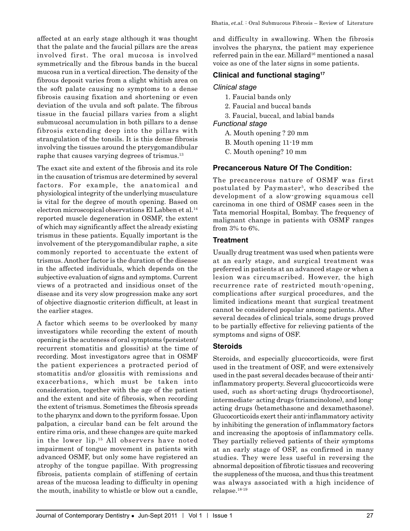affected at an early stage although it was thought that the palate and the faucial pillars are the areas involved first. The oral mucosa is involved symmetrically and the fibrous bands in the buccal mucosa run in a vertical direction. The density of the fibrous deposit varies from a slight whitish area on the soft palate causing no symptoms to a dense fibrosis causing fixation and shortening or even deviation of the uvula and soft palate. The fibrous tissue in the faucial pillars varies from a slight submucosal accumulation in both pillars to a dense fibrosis extending deep into the pillars with strangulation of the tonsils. It is this dense fibrosis involving the tissues around the pterygomandibular raphe that causes varying degrees of trismus.<sup>13</sup>

The exact site and extent of the fibrosis and its role in the causation of trismus are determined by several factors. For example, the anatomical and physiological integrity of the underlying musculature is vital for the degree of mouth opening. Based on electron microscopical observations El Labben et al.<sup>14</sup> reported muscle degeneration in OSMF, the extent of which may significantly affect the already existing trismus in these patients. Equally important is the involvement of the pterygomandibular raphe, a site commonly reported to accentuate the extent of trismus. Another factor is the duration of the disease in the affected individuals, which depends on the subjective evaluation of signs and symptoms. Current views of a protracted and insidious onset of the disease and its very slow progression make any sort of objective diagnostic criterion difficult, at least in the earlier stages.

A factor which seems to be overlooked by many investigators while recording the extent of mouth opening is the acuteness of oral symptoms (persistent/ recurrent stomatitis and glossitis) at the time of recording. Most investigators agree that in OSMF the patient experiences a protracted period of stomatitis and/or glossitis with remissions and exacerbations, which must be taken into consideration, together with the age of the patient and the extent and site of fibrosis, when recording the extent of trismus. Sometimes the fibrosis spreads to the pharynx and down to the pyriform fossae. Upon palpation, a circular band can be felt around the entire rima oris, and these changes are quite marked in the lower lip.15 All observers have noted impairment of tongue movement in patients with advanced OSMF, but only some have registered an atrophy of the tongue papillae. With progressing fibrosis, patients complain of stiffening of certain areas of the mucosa leading to difficulty in opening the mouth, inability to whistle or blow out a candle,

and difficulty in swallowing. When the fibrosis involves the pharynx, the patient may experience referred pain in the ear. Millard<sup>16</sup> mentioned a nasal voice as one of the later signs in some patients.

# **Clinical and functional staging17**

#### *Clinical stage*

- 1. Faucial bands only
- 2. Faucial and buccal bands
- 3. Faucial, buccal, and labial bands

#### *Functional stage*

- A. Mouth opening ? 20 mm
- B. Mouth opening 11-19 mm
- C. Mouth opening? 10 mm

# **Precancerous Nature Of The Condition:**

The precancerous nature of OSMF was first postulated by Paymaster<sup>5</sup>, who described the development of a slow-growing squamous cell carcinoma in one third of OSMF cases seen in the Tata memorial Hospital, Bombay. The frequency of malignant change in patients with OSMF ranges from 3% to 6%.

#### **Treatment**

Usually drug treatment was used when patients were at an early stage, and surgical treatment was preferred in patients at an advanced stage or when a lesion was circumscribed. However, the high recurrence rate of restricted mouth-opening, complications after surgical procedures, and the limited indications meant that surgical treatment cannot be considered popular among patients. After several decades of clinical trials, some drugs proved to be partially effective for relieving patients of the symptoms and signs of OSF.

# **Steroids**

Steroids, and especially glucocorticoids, were first used in the treatment of OSF, and were extensively used in the past several decades because of their antiinflammatory property. Several glucocorticoids were used, such as short-acting drugs (hydrocortisone), intermediate- acting drugs (triamcinolone), and longacting drugs (betamethasone and dexamethasone). Glucocorticoids exert their anti-inflammatory activity by inhibiting the generation of inflammatory factors and increasing the apoptosis of inflammatory cells. They partially relieved patients of their symptoms at an early stage of OSF, as confirmed in many studies. They were less useful in reversing the abnormal deposition of fibrotic tissues and recovering the suppleness of the mucosa, and thus this treatment was always associated with a high incidence of relapse.18-19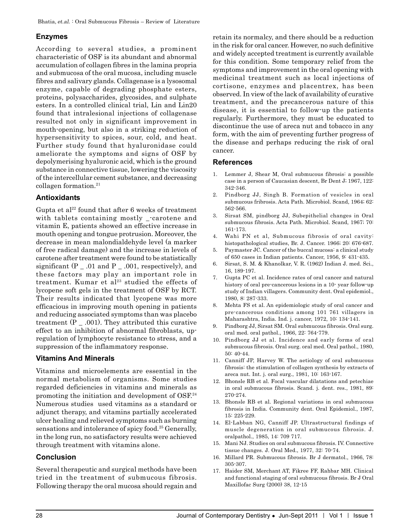# **Enzymes**

According to several studies, a prominent characteristic of OSF is its abundant and abnormal accumulation of collagen fibres in the lamina propria and submucosa of the oral mucosa, including muscle fibres and salivary glands. Collagenase is a lysosomal enzyme, capable of degrading phosphate esters, proteins, polysaccharides, glycosides, and sulphate esters. In a controlled clinical trial, Lin and Lin20 found that intralesional injections of collagenase resulted not only in significant improvement in mouth-opening, but also in a striking reduction of hypersensitivity to spices, sour, cold, and heat. Further study found that hyaluronidase could ameliorate the symptoms and signs of OSF by depolymerising hyaluronic acid, which is the ground substance in connective tissue, lowering the viscosity of the intercellular cement substance, and decreasing collagen formation.21

# **Antioxidants**

Gupta et al<sup>22</sup> found that after 6 weeks of treatment with tablets containing mostly \_-carotene and vitamin E, patients showed an effective increase in mouth opening and tongue protrusion. Moreover, the decrease in mean malondialdehyde level (a marker of free radical damage) and the increase in levels of carotene after treatment were found to be statistically significant  $(P_$   $\_$  .01 and  $P_$   $\_$  .001, respectively), and these factors may play an important role in treatment. Kumar et al<sup>23</sup> studied the effects of lycopene soft gels in the treatment of OSF by RCT. Their results indicated that lycopene was more efficacious in improving mouth opening in patients and reducing associated symptoms than was placebo treatment  $(P_$   $\ldots$  001). They attributed this curative effect to an inhibition of abnormal fibroblasts, upregulation of lymphocyte resistance to stress, and a suppression of the inflammatory response.

# **Vitamins And Minerals**

Vitamins and microelements are essential in the normal metabolism of organisms. Some studies regarded deficiencies in vitamins and minerals as promoting the initiation and development of OSF.24 Numerous studies used vitamins as a standard or adjunct therapy, and vitamins partially accelerated ulcer healing and relieved symptoms such as burning sensations and intolerance of spicy food.<sup>25</sup> Generally, in the long run, no satisfactory results were achieved through treatment with vitamins alone.

# **Conclusion**

Several therapeutic and surgical methods have been tried in the treatment of submucous fibrosis. Following therapy the oral mucosa should regain and retain its normalcy, and there should be a reduction in the risk for oral cancer. However, no such definitive and widely accepted treatment is currently available for this condition. Some temporary relief from the symptoms and improvement in the oral opening with medicinal treatment such as local injections of cortisone, enzymes and placentrex, has been observed. In view of the lack of availability of curative treatment, and the precancerous nature of this disease, it is essential to follow-up the patients regularly. Furthermore, they must be educated to discontinue the use of areca nut and tobacco in any form, with the aim of preventing further progress of the disease and perhaps reducing the risk of oral cancer.

# **References**

- 1. Lemmer J, Shear M, Oral submucous fibrosis: a possible case in a person of Caucasian descent, Br Dent J; 1967, 122: 342-346.
- 2. Pindborg JJ, Singh B. Formation of vesicles in oral submucous fribrosis. Acta Path. Microbiol. Scand, 1964; 62: 562-566.
- 3. Sirsat SM, pindborg JJ, Subepithelial changes in Oral submucous fibrosis. Acta Path. Microbiol. Scand, 1967; 70: 161-173.
- 4. Wahi PN et al, Submucous fibrosis of oral cavity: histopathological studies, Br. J. Cancer. 1966; 20: 676-687.
- 5. Paymaster JC. Cancer of the buccal mucosa: a clinical study of 650 cases in Indian patients. Cancer, 1956, 9: 431-435.
- 6. Sirsat, S. M. & Khanolkar, V. R. (1962) Indian J. med. Sci., 16, 189-197.
- 7. Gupta PC et al. Incidence rates of oral cancer and natural history of oral pre-cancerous lesions in a 10- year follow-up study of Indian villagers. Community dent. Oral epidemiol., 1980, 8: 287-333.
- 8. Mehta FS et al. An epidemiologic study of oral cancer and pre-cancerous conditions among 101 761 villagers in Maharashtra, India. Ind. j. cancer, 1972, 10: 134-141.
- 9. Pindborg JJ, Sirsat SM. Oral submucous fibrosis. Oral surg. oral med. oral pathol., 1966, 22: 764-779.
- 10. Pindborg JJ et al. Incidence and early forms of oral submucous fibrosis. Oral surg. oral med. Oral pathol., 1980, 50: 40-44.
- 11. Canniff JP, Harvey W. The aetiology of oral submucous fibrosis: the stimulation of collagen synthesis by extracts of areca nut. Int. j. oral surg., 1981, 10: 163-167.
- 12. Bhonsle RB et al. Focal vascular dilatations and petechiae in oral submucous fibrosis. Scand. j. dent. res., 1981, 89: 270-274.
- 13. Bhonsle RB et al. Regional variations in oral submucous fibrosis in India. Community dent. Oral Epidemiol., 1987, 15: 225-229.
- 14. El-Labban NG, Canniff JP. Ultrastructural findings of muscle degeneration in oral submucous fibrosis. J. oralpathol., 1985, 14: 709 717.
- 15. Mani NJ. Studies on oral submucous fibrosis. IV. Connective tissue changes. J. Oral Med., 1977, 32: 70-74.
- 16. Millard PR. Submucous fibrosis. Br J dermatol., 1966, 78: 305-307.
- 17. Haider SM, Merchant AT, Fikree FF, Rahbar MH. Clinical and functional staging of oral submucous fibrosis. Br J Oral Maxillofac Surg (2000) 38, 12-15